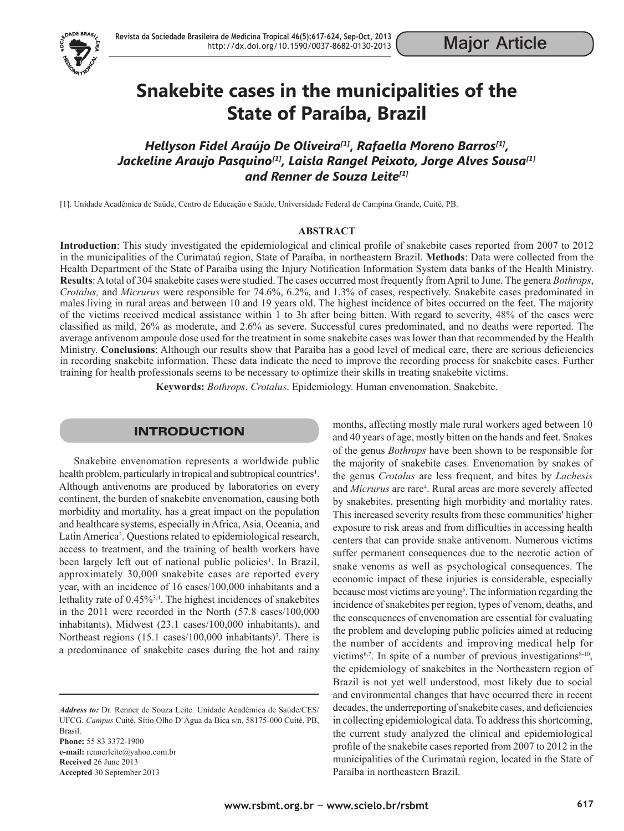# **Snakebite cases in the municipalities of the State of Paraíba, Brazil**

# *Hellyson Fidel Araújo De Oliveira[1]***,** *Rafaella Moreno Barros[1], Jackeline Araujo Pasquino[1], Laisla Rangel Peixoto, Jorge Alves Sousa[1] and Renner de Souza Leite[1]*

[1]. Unidade Acadêmica de Saúde, Centro de Educação e Saúde, Universidade Federal de Campina Grande, Cuité, PB.

#### **ABSTRACT**

**Introduction**: This study investigated the epidemiological and clinical profile of snakebite cases reported from 2007 to 2012 in the municipalities of the Curimataú region, State of Paraíba, in northeastern Brazil. **Methods**: Data were collected from the Health Department of the State of Paraíba using the Injury Notification Information System data banks of the Health Ministry. **Results**: A total of 304 snakebite cases were studied. The cases occurred most frequently from April to June. The genera *Bothrops*, *Crotalus,* and *Micrurus* were responsible for 74.6%, 6.2%, and 1.3% of cases, respectively. Snakebite cases predominated in males living in rural areas and between 10 and 19 years old. The highest incidence of bites occurred on the feet. The majority of the victims received medical assistance within 1 to 3h after being bitten. With regard to severity, 48% of the cases were classified as mild, 26% as moderate, and 2.6% as severe. Successful cures predominated, and no deaths were reported. The average antivenom ampoule dose used for the treatment in some snakebite cases was lower than that recommended by the Health Ministry. **Conclusions**: Although our results show that Paraíba has a good level of medical care, there are serious deficiencies in recording snakebite information. These data indicate the need to improve the recording process for snakebite cases. Further training for health professionals seems to be necessary to optimize their skills in treating snakebite victims.

**Keywords:** *Bothrops*. *Crotalus*. Epidemiology. Human envenomation. Snakebite.

## **INTRODUCTION**

Snakebite envenomation represents a worldwide public health problem, particularly in tropical and subtropical countries<sup>1</sup>. Although antivenoms are produced by laboratories on every continent, the burden of snakebite envenomation, causing both morbidity and mortality, has a great impact on the population and healthcare systems, especially in Africa, Asia, Oceania, and Latin America<sup>2</sup>. Questions related to epidemiological research, access to treatment, and the training of health workers have been largely left out of national public policies<sup>1</sup>. In Brazil, approximately 30,000 snakebite cases are reported every year, with an incidence of 16 cases/100,000 inhabitants and a lethality rate of 0.45%<sup>3,4</sup>. The highest incidences of snakebites in the 2011 were recorded in the North (57.8 cases/100,000 inhabitants), Midwest (23.1 cases/100,000 inhabitants), and Northeast regions (15.1 cases/100,000 inhabitants)<sup>3</sup>. There is a predominance of snakebite cases during the hot and rainy

*Address to:* Dr. Renner de Souza Leite. Unidade Acadêmica de Saúde/CES/ UFCG. *Campus* Cuité, Sítio Olho D`Água da Bica s/n, 58175-000 Cuité, PB, Brasil. **Phone:** 55 83 3372-1900 **e-mail:** rennerleite@yahoo.com.br **Received** 26 June 2013 **Accepted** 30 September 2013

months, affecting mostly male rural workers aged between 10 and 40 years of age, mostly bitten on the hands and feet. Snakes of the genus *Bothrops* have been shown to be responsible for the majority of snakebite cases. Envenomation by snakes of the genus *Crotalus* are less frequent, and bites by *Lachesis* and *Micrurus* are rare<sup>4</sup>. Rural areas are more severely affected by snakebites, presenting high morbidity and mortality rates. This increased severity results from these communities' higher exposure to risk areas and from difficulties in accessing health centers that can provide snake antivenom. Numerous victims suffer permanent consequences due to the necrotic action of snake venoms as well as psychological consequences. The economic impact of these injuries is considerable, especially because most victims are young<sup>5</sup>. The information regarding the incidence of snakebites per region, types of venom, deaths, and the consequences of envenomation are essential for evaluating the problem and developing public policies aimed at reducing the number of accidents and improving medical help for victims<sup>6,7</sup>. In spite of a number of previous investigations<sup>8-10</sup>, the epidemiology of snakebites in the Northeastern region of Brazil is not yet well understood, most likely due to social and environmental changes that have occurred there in recent decades, the underreporting of snakebite cases, and deficiencies in collecting epidemiological data. To address this shortcoming, the current study analyzed the clinical and epidemiological profile of the snakebite cases reported from 2007 to 2012 in the municipalities of the Curimataú region, located in the State of Paraíba in northeastern Brazil.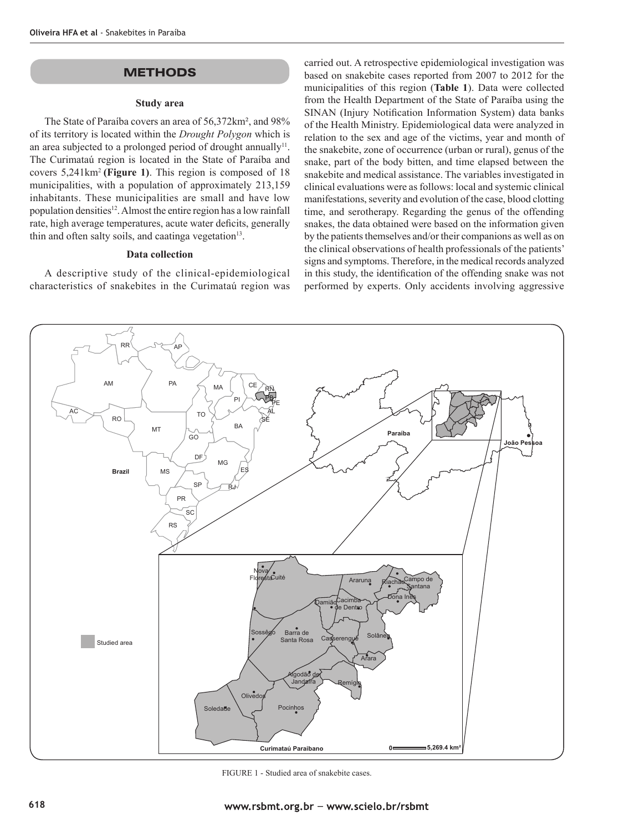## **METHODS**

#### **Study area**

The State of Paraíba covers an area of 56,372km², and 98% of its territory is located within the *Drought Polygon* which is an area subjected to a prolonged period of drought annually<sup>11</sup>. The Curimataú region is located in the State of Paraíba and covers 5,241km<sup>2</sup>**(Figure 1)**. This region is composed of 18 municipalities, with a population of approximately 213,159 inhabitants. These municipalities are small and have low population densities<sup>12</sup>. Almost the entire region has a low rainfall rate, high average temperatures, acute water deficits, generally thin and often salty soils, and caatinga vegetation $13$ .

#### **Data collection**

A descriptive study of the clinical-epidemiological characteristics of snakebites in the Curimataú region was

carried out. A retrospective epidemiological investigation was based on snakebite cases reported from 2007 to 2012 for the municipalities of this region (**Table 1**). Data were collected from the Health Department of the State of Paraíba using the SINAN (Injury Notification Information System) data banks of the Health Ministry. Epidemiological data were analyzed in relation to the sex and age of the victims, year and month of the snakebite, zone of occurrence (urban or rural), genus of the snake, part of the body bitten, and time elapsed between the snakebite and medical assistance. The variables investigated in clinical evaluations were as follows: local and systemic clinical manifestations, severity and evolution of the case, blood clotting time, and serotherapy. Regarding the genus of the offending snakes, the data obtained were based on the information given by the patients themselves and/or their companions as well as on the clinical observations of health professionals of the patients' signs and symptoms. Therefore, in the medical records analyzed in this study, the identification of the offending snake was not performed by experts. Only accidents involving aggressive



FIGURE 1 - Studied area of snakebite cases.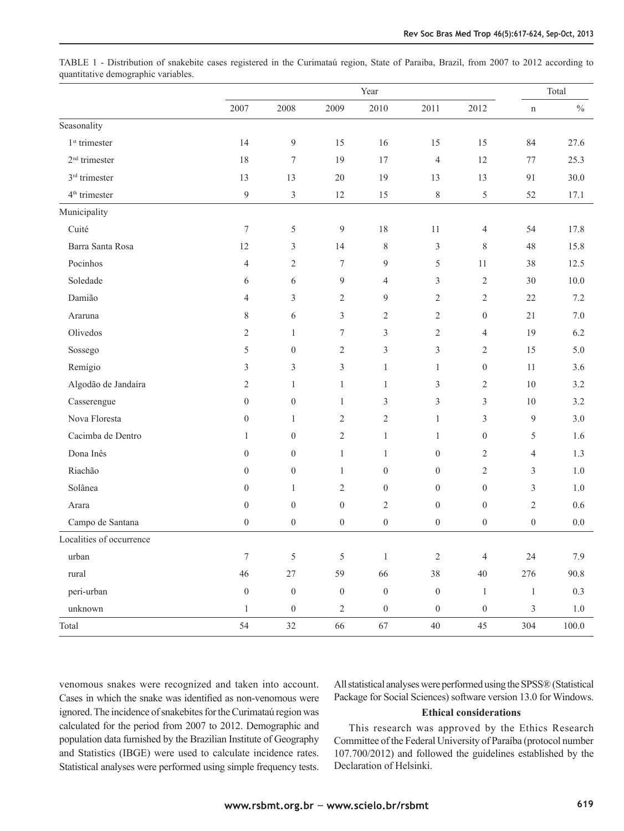|                           |                  | Year             |                  |                  |                  |                  |                  | Total         |  |
|---------------------------|------------------|------------------|------------------|------------------|------------------|------------------|------------------|---------------|--|
|                           | 2007             | 2008             | 2009             | 2010             | 2011             | 2012             | $\mathbf n$      | $\frac{0}{0}$ |  |
| Seasonality               |                  |                  |                  |                  |                  |                  |                  |               |  |
| 1 <sup>st</sup> trimester | 14               | $\overline{9}$   | 15               | 16               | 15               | 15               | 84               | 27.6          |  |
| $2nd$ trimester           | 18               | $\boldsymbol{7}$ | 19               | 17               | $\overline{4}$   | 12               | $77 \,$          | 25.3          |  |
| 3 <sup>rd</sup> trimester | 13               | 13               | $20\,$           | 19               | 13               | 13               | 91               | 30.0          |  |
| 4 <sup>th</sup> trimester | 9                | $\mathfrak{Z}$   | $12\,$           | 15               | $8\,$            | 5                | 52               | 17.1          |  |
| Municipality              |                  |                  |                  |                  |                  |                  |                  |               |  |
| Cuité                     | $\boldsymbol{7}$ | 5                | 9                | 18               | 11               | $\overline{4}$   | 54               | 17.8          |  |
| Barra Santa Rosa          | 12               | 3                | 14               | $8\,$            | $\mathfrak{Z}$   | $\,$ $\,$        | 48               | 15.8          |  |
| Pocinhos                  | $\overline{4}$   | $\overline{c}$   | $\boldsymbol{7}$ | 9                | 5                | 11               | 38               | 12.5          |  |
| Soledade                  | 6                | 6                | 9                | 4                | 3                | $\overline{2}$   | 30               | $10.0\,$      |  |
| Damião                    | 4                | $\mathfrak{Z}$   | $\sqrt{2}$       | 9                | 2                | 2                | 22               | $7.2\,$       |  |
| Araruna                   | 8                | 6                | 3                | 2                | $\overline{2}$   | $\boldsymbol{0}$ | $21\,$           | $7.0\,$       |  |
| Olivedos                  | $\overline{c}$   | $\mathbf{1}$     | $\boldsymbol{7}$ | 3                | $\mathbf{2}$     | $\overline{4}$   | 19               | 6.2           |  |
| Sossego                   | 5                | $\boldsymbol{0}$ | $\mathfrak{2}$   | 3                | 3                | $\overline{c}$   | 15               | 5.0           |  |
| Remígio                   | 3                | 3                | 3                | $\mathbf{1}$     | 1                | $\boldsymbol{0}$ | 11               | 3.6           |  |
| Algodão de Jandaíra       | $\sqrt{2}$       | $\mathbf{1}$     | $\mathbf{1}$     | $\mathbf{1}$     | 3                | $\sqrt{2}$       | 10               | 3.2           |  |
| Casserengue               | $\boldsymbol{0}$ | $\boldsymbol{0}$ | $\mathbf{1}$     | 3                | 3                | 3                | 10               | 3.2           |  |
| Nova Floresta             | $\boldsymbol{0}$ | $\mathbf{1}$     | $\overline{2}$   | $\sqrt{2}$       | $\mathbf{1}$     | 3                | $\overline{9}$   | 3.0           |  |
| Cacimba de Dentro         | $\mathbf{1}$     | $\boldsymbol{0}$ | $\sqrt{2}$       | $\mathbf{1}$     | $\mathbf{1}$     | $\boldsymbol{0}$ | 5                | 1.6           |  |
| Dona Inês                 | $\boldsymbol{0}$ | $\boldsymbol{0}$ | $\mathbf{1}$     | $\mathbf{1}$     | $\boldsymbol{0}$ | $\overline{2}$   | 4                | 1.3           |  |
| Riachão                   | $\boldsymbol{0}$ | $\boldsymbol{0}$ | $\mathbf{1}$     | $\boldsymbol{0}$ | $\boldsymbol{0}$ | $\sqrt{2}$       | 3                | $1.0\,$       |  |
| Solânea                   | $\boldsymbol{0}$ | $\mathbf{1}$     | $\mathfrak{2}$   | $\boldsymbol{0}$ | $\boldsymbol{0}$ | $\boldsymbol{0}$ | 3                | $1.0\,$       |  |
| Arara                     | $\boldsymbol{0}$ | $\boldsymbol{0}$ | $\boldsymbol{0}$ | 2                | $\boldsymbol{0}$ | $\boldsymbol{0}$ | $\overline{c}$   | 0.6           |  |
| Campo de Santana          | $\boldsymbol{0}$ | $\boldsymbol{0}$ | $\boldsymbol{0}$ | $\boldsymbol{0}$ | $\boldsymbol{0}$ | $\boldsymbol{0}$ | $\boldsymbol{0}$ | $0.0\,$       |  |
| Localities of occurrence  |                  |                  |                  |                  |                  |                  |                  |               |  |
| urban                     | 7                | 5                | $\sqrt{5}$       | $\mathbf{1}$     | $\overline{c}$   | 4                | 24               | 7.9           |  |
| rural                     | 46               | $27\,$           | 59               | 66               | 38               | $40\,$           | 276              | 90.8          |  |
| peri-urban                | $\boldsymbol{0}$ | $\boldsymbol{0}$ | $\boldsymbol{0}$ | $\boldsymbol{0}$ | $\boldsymbol{0}$ | $\mathbf{1}$     | $\mathbf{1}$     | $0.3\,$       |  |
| unknown                   | $\,1\,$          | $\boldsymbol{0}$ | $\sqrt{2}$       | $\boldsymbol{0}$ | $\boldsymbol{0}$ | $\boldsymbol{0}$ | $\mathfrak{Z}$   | $1.0\,$       |  |
| Total                     | 54               | $32\,$           | 66               | 67               | $40\,$           | $45\,$           | 304              | $100.0\,$     |  |

TABLE 1 - Distribution of snakebite cases registered in the Curimataú region, State of Paraiba, Brazil, from 2007 to 2012 according to quantitative demographic variables.

venomous snakes were recognized and taken into account. Cases in which the snake was identified as non-venomous were ignored. The incidence of snakebites for the Curimataú region was calculated for the period from 2007 to 2012. Demographic and population data furnished by the Brazilian Institute of Geography and Statistics (IBGE) were used to calculate incidence rates. Statistical analyses were performed using simple frequency tests.

All statistical analyses were performed using the SPSS® (Statistical Package for Social Sciences) software version 13.0 for Windows.

### **Ethical considerations**

This research was approved by the Ethics Research Committee of the Federal University of Paraíba (protocol number 107.700/2012) and followed the guidelines established by the Declaration of Helsinki.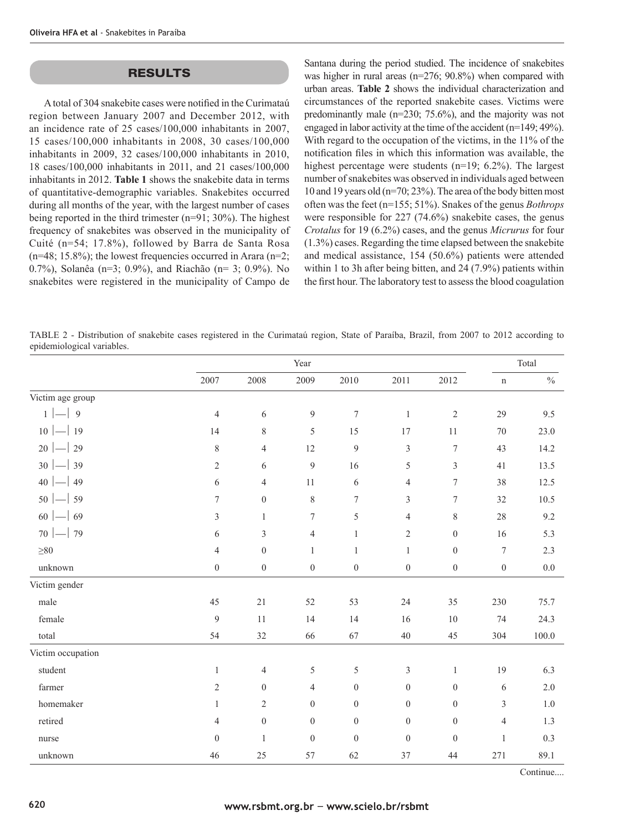## RESULTS

A total of 304 snakebite cases were notified in the Curimataú region between January 2007 and December 2012, with an incidence rate of 25 cases/100,000 inhabitants in 2007, 15 cases/100,000 inhabitants in 2008, 30 cases/100,000 inhabitants in 2009, 32 cases/100,000 inhabitants in 2010, 18 cases/100,000 inhabitants in 2011, and 21 cases/100,000 inhabitants in 2012. **Table 1** shows the snakebite data in terms of quantitative-demographic variables. Snakebites occurred during all months of the year, with the largest number of cases being reported in the third trimester (n=91; 30%). The highest frequency of snakebites was observed in the municipality of Cuité (n=54; 17.8%), followed by Barra de Santa Rosa  $(n=48; 15.8\%)$ ; the lowest frequencies occurred in Arara  $(n=2;$ 0.7%), Solanêa (n=3; 0.9%), and Riachão (n= 3; 0.9%). No snakebites were registered in the municipality of Campo de

Santana during the period studied. The incidence of snakebites was higher in rural areas (n=276; 90.8%) when compared with urban areas. **Table 2** shows the individual characterization and circumstances of the reported snakebite cases. Victims were predominantly male (n=230; 75.6%), and the majority was not engaged in labor activity at the time of the accident (n=149; 49%). With regard to the occupation of the victims, in the 11% of the notification files in which this information was available, the highest percentage were students (n=19; 6.2%). The largest number of snakebites was observed in individuals aged between 10 and 19 years old (n=70; 23%). The area of the body bitten most often was the feet (n=155; 51%). Snakes of the genus *Bothrops* were responsible for 227 (74.6%) snakebite cases, the genus *Crotalus* for 19 (6.2%) cases, and the genus *Micrurus* for four (1.3%) cases. Regarding the time elapsed between the snakebite and medical assistance, 154 (50.6%) patients were attended within 1 to 3h after being bitten, and 24 (7.9%) patients within the first hour. The laboratory test to assess the blood coagulation

TABLE 2 - Distribution of snakebite cases registered in the Curimataú region, State of Paraíba, Brazil, from 2007 to 2012 according to epidemiological variables.

|                   | Year             |                  |                  |                  |                  |                  |                  | Total         |  |
|-------------------|------------------|------------------|------------------|------------------|------------------|------------------|------------------|---------------|--|
|                   | 2007             | 2008             | 2009             | 2010             | 2011             | 2012             | $\mathbf n$      | $\frac{0}{0}$ |  |
| Victim age group  |                  |                  |                  |                  |                  |                  |                  |               |  |
| $1$  -  9         | $\sqrt{4}$       | $\sqrt{6}$       | $\mathfrak{g}$   | $\tau$           | $\mathbf{1}$     | $\sqrt{2}$       | 29               | 9.5           |  |
| $10$  -  19       | 14               | $8\,$            | 5                | 15               | 17               | 11               | $70\,$           | 23.0          |  |
| 20<br>29          | $\,$ $\,$        | $\overline{4}$   | 12               | 9                | $\mathfrak{Z}$   | $\overline{7}$   | 43               | 14.2          |  |
| 30<br> 39         | $\sqrt{2}$       | 6                | 9                | 16               | 5                | 3                | 41               | 13.5          |  |
| 40<br>49          | $\sqrt{6}$       | $\overline{4}$   | 11               | $\sqrt{6}$       | $\overline{4}$   | $\boldsymbol{7}$ | $38\,$           | 12.5          |  |
| 50<br>59          | $\boldsymbol{7}$ | $\boldsymbol{0}$ | $\,8\,$          | $\tau$           | 3                | $\tau$           | 32               | 10.5          |  |
| 69<br>60          | $\mathfrak{Z}$   | $\mathbf{1}$     | $\boldsymbol{7}$ | 5                | $\overline{4}$   | 8                | $28\,$           | 9.2           |  |
| $70$  - $79$      | 6                | $\mathfrak{Z}$   | $\overline{4}$   | $\mathbf{1}$     | $\overline{c}$   | $\boldsymbol{0}$ | 16               | 5.3           |  |
| $\geq 80$         | $\overline{4}$   | $\boldsymbol{0}$ | 1                | 1                | $\mathbf{1}$     | $\boldsymbol{0}$ | $\boldsymbol{7}$ | 2.3           |  |
| unknown           | $\boldsymbol{0}$ | $\boldsymbol{0}$ | $\boldsymbol{0}$ | $\boldsymbol{0}$ | $\boldsymbol{0}$ | $\boldsymbol{0}$ | $\boldsymbol{0}$ | 0.0           |  |
| Victim gender     |                  |                  |                  |                  |                  |                  |                  |               |  |
| male              | 45               | 21               | 52               | 53               | 24               | 35               | 230              | 75.7          |  |
| female            | $\overline{9}$   | 11               | 14               | 14               | 16               | $10\,$           | 74               | 24.3          |  |
| total             | 54               | $32\,$           | 66               | 67               | 40               | 45               | 304              | 100.0         |  |
| Victim occupation |                  |                  |                  |                  |                  |                  |                  |               |  |
| student           | $\mathbf{1}$     | $\overline{4}$   | $\mathfrak s$    | $\mathfrak s$    | $\mathfrak{Z}$   | $\mathbf{1}$     | 19               | 6.3           |  |
| farmer            | $\sqrt{2}$       | $\boldsymbol{0}$ | $\overline{4}$   | $\boldsymbol{0}$ | $\boldsymbol{0}$ | $\boldsymbol{0}$ | $\sqrt{6}$       | 2.0           |  |
| homemaker         | $\mathbf{1}$     | $\overline{c}$   | $\boldsymbol{0}$ | $\boldsymbol{0}$ | $\boldsymbol{0}$ | $\boldsymbol{0}$ | 3                | 1.0           |  |
| retired           | $\overline{4}$   | $\boldsymbol{0}$ | $\boldsymbol{0}$ | $\boldsymbol{0}$ | $\boldsymbol{0}$ | $\boldsymbol{0}$ | $\overline{4}$   | 1.3           |  |
| nurse             | $\boldsymbol{0}$ | $\mathbf{1}$     | $\boldsymbol{0}$ | $\boldsymbol{0}$ | $\boldsymbol{0}$ | $\boldsymbol{0}$ | $\mathbf{1}$     | 0.3           |  |
| unknown           | 46               | 25               | 57               | 62               | 37               | $44\,$           | 271              | 89.1          |  |

Continue....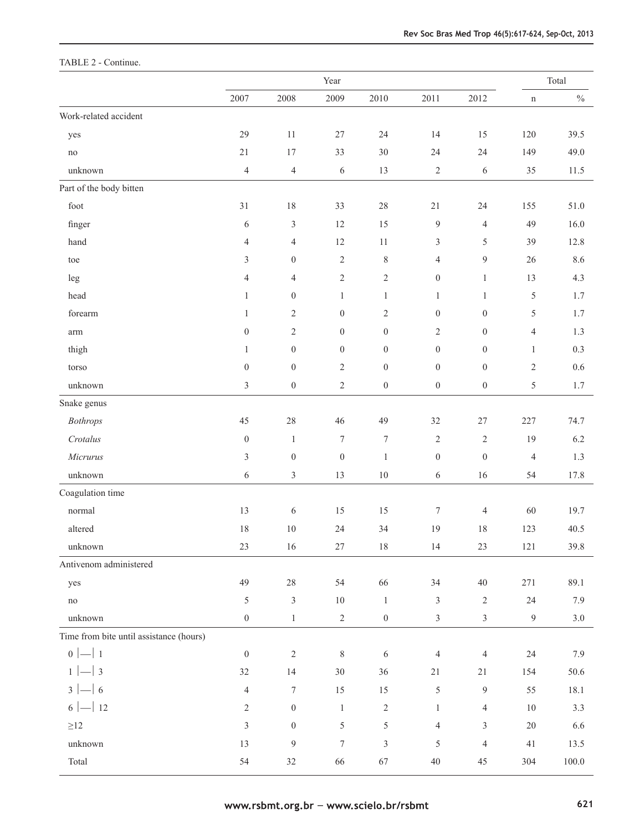|                                         | Year             |                  |                  |                  |                  |                  |                  | Total    |  |
|-----------------------------------------|------------------|------------------|------------------|------------------|------------------|------------------|------------------|----------|--|
|                                         | 2007             | 2008             | 2009             | 2010             | 2011             | 2012             | $\mathbf n$      | $\%$     |  |
| Work-related accident                   |                  |                  |                  |                  |                  |                  |                  |          |  |
| yes                                     | 29               | 11               | $27\,$           | 24               | 14               | 15               | 120              | 39.5     |  |
| no                                      | $21\,$           | 17               | 33               | 30               | 24               | 24               | 149              | 49.0     |  |
| unknown                                 | $\overline{4}$   | $\overline{4}$   | $\sqrt{6}$       | 13               | $\sqrt{2}$       | 6                | 35               | 11.5     |  |
| Part of the body bitten                 |                  |                  |                  |                  |                  |                  |                  |          |  |
| foot                                    | 31               | $18\,$           | 33               | 28               | $21\,$           | 24               | 155              | 51.0     |  |
| finger                                  | $\sqrt{6}$       | $\mathfrak{Z}$   | 12               | 15               | 9                | $\overline{4}$   | 49               | 16.0     |  |
| hand                                    | $\overline{4}$   | $\overline{4}$   | 12               | 11               | 3                | 5                | 39               | 12.8     |  |
| toe                                     | 3                | $\boldsymbol{0}$ | $\sqrt{2}$       | $\,8\,$          | $\overline{4}$   | $\overline{9}$   | 26               | 8.6      |  |
| leg                                     | $\overline{4}$   | $\overline{4}$   | $\mathbf{2}$     | $\mathbf{2}$     | $\boldsymbol{0}$ | $\mathbf{1}$     | 13               | 4.3      |  |
| head                                    | $\mathbf{1}$     | $\boldsymbol{0}$ | $\mathbf{1}$     | $\mathbf{1}$     | $\mathbf{1}$     | $\mathbf{1}$     | $\mathfrak s$    | 1.7      |  |
| forearm                                 | $\mathbf{1}$     | $\sqrt{2}$       | $\boldsymbol{0}$ | $\sqrt{2}$       | $\boldsymbol{0}$ | $\boldsymbol{0}$ | $\mathfrak s$    | 1.7      |  |
| arm                                     | $\boldsymbol{0}$ | $\sqrt{2}$       | $\boldsymbol{0}$ | $\boldsymbol{0}$ | $\mathbf{2}$     | $\boldsymbol{0}$ | $\overline{4}$   | 1.3      |  |
| thigh                                   | $\mathbf{1}$     | $\boldsymbol{0}$ | $\boldsymbol{0}$ | $\boldsymbol{0}$ | $\boldsymbol{0}$ | $\boldsymbol{0}$ | $\mathbf{1}$     | 0.3      |  |
| torso                                   | $\boldsymbol{0}$ | $\boldsymbol{0}$ | $\overline{c}$   | $\boldsymbol{0}$ | $\boldsymbol{0}$ | $\boldsymbol{0}$ | $\sqrt{2}$       | 0.6      |  |
| unknown                                 | $\mathfrak z$    | $\boldsymbol{0}$ | $\sqrt{2}$       | $\boldsymbol{0}$ | $\boldsymbol{0}$ | $\boldsymbol{0}$ | 5                | 1.7      |  |
| Snake genus                             |                  |                  |                  |                  |                  |                  |                  |          |  |
| <b>Bothrops</b>                         | 45               | $28\,$           | 46               | 49               | 32               | $27\,$           | 227              | 74.7     |  |
| Crotalus                                | $\boldsymbol{0}$ | $\mathbf{1}$     | $\tau$           | $\boldsymbol{7}$ | $\mathbf{2}$     | $\mathfrak{2}$   | 19               | 6.2      |  |
| Micrurus                                | $\sqrt{3}$       | $\boldsymbol{0}$ | $\boldsymbol{0}$ | $\,1$            | $\boldsymbol{0}$ | $\boldsymbol{0}$ | $\overline{4}$   | 1.3      |  |
| unknown                                 | $\epsilon$       | $\mathfrak{Z}$   | 13               | $10\,$           | 6                | 16               | 54               | 17.8     |  |
| Coagulation time                        |                  |                  |                  |                  |                  |                  |                  |          |  |
| normal                                  | 13               | $\sqrt{6}$       | 15               | 15               | 7                | $\overline{4}$   | 60               | 19.7     |  |
| altered                                 | 18               | $10\,$           | 24               | 34               | 19               | 18               | 123              | 40.5     |  |
| unknown                                 | $23\,$           | 16               | $27\,$           | 18               | 14               | $23\,$           | $121\,$          | 39.8     |  |
| Antivenom administered                  |                  |                  |                  |                  |                  |                  |                  |          |  |
| yes                                     | 49               | $28\,$           | 54               | 66               | 34               | $40\,$           | $271\,$          | 89.1     |  |
| no                                      | $\sqrt{5}$       | $\mathfrak{Z}$   | $10\,$           | $\mathbf{1}$     | $\mathfrak{Z}$   | $\sqrt{2}$       | 24               | 7.9      |  |
| unknown                                 | $\boldsymbol{0}$ | $\mathbf{1}$     | $\sqrt{2}$       | $\boldsymbol{0}$ | $\mathfrak{Z}$   | $\mathfrak z$    | $\boldsymbol{9}$ | $3.0\,$  |  |
| Time from bite until assistance (hours) |                  |                  |                  |                  |                  |                  |                  |          |  |
| $0$  -  1                               | $\boldsymbol{0}$ | $\sqrt{2}$       | $\,8\,$          | 6                | $\overline{4}$   | 4                | 24               | 7.9      |  |
| $1$  - 3                                | $32\,$           | 14               | $30\,$           | 36               | $21\,$           | 21               | 154              | 50.6     |  |
| $3$  - 6                                | $\overline{4}$   | $\tau$           | 15               | 15               | 5                | $\overline{9}$   | 55               | $18.1\,$ |  |
| $6$  -  12                              | $\sqrt{2}$       | $\boldsymbol{0}$ | $\mathbf{1}$     | $\sqrt{2}$       | $\mathbf{1}$     | $\overline{4}$   | $10\,$           | 3.3      |  |
| $\geq$ 12                               | $\mathfrak{Z}$   | $\boldsymbol{0}$ | $\sqrt{5}$       | $\mathfrak s$    | 4                | $\mathfrak{Z}$   | $20\,$           | 6.6      |  |
| unknown                                 | 13               | $\overline{9}$   | $\boldsymbol{7}$ | $\mathfrak{Z}$   | 5                | $\overline{4}$   | 41               | 13.5     |  |
| Total                                   | 54               | $32\,$           | 66               | 67               | $40\,$           | $45\,$           | 304              | 100.0    |  |

## TABLE 2 - Continue.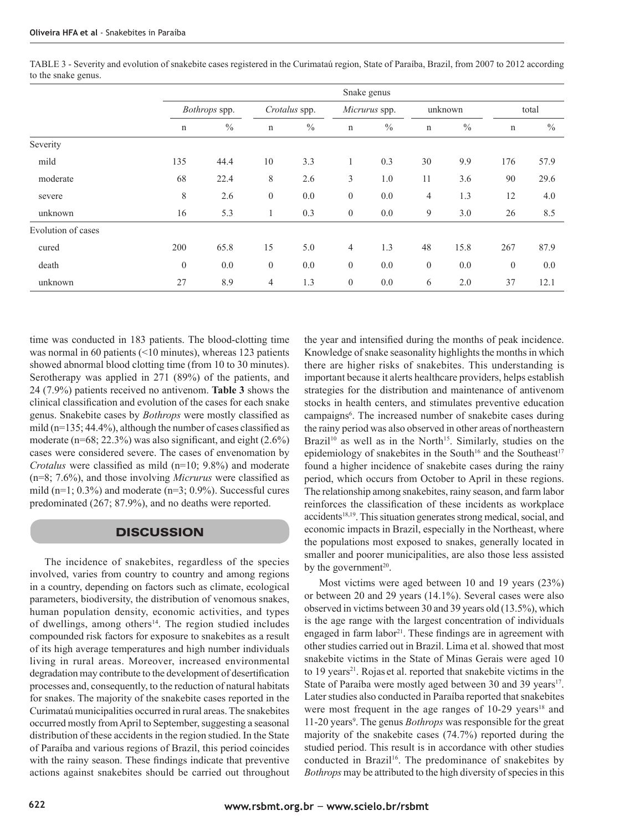|                    | Snake genus   |               |                  |               |                  |               |                  |               |                  |      |
|--------------------|---------------|---------------|------------------|---------------|------------------|---------------|------------------|---------------|------------------|------|
|                    | Bothrops spp. |               | Crotalus spp.    |               | Micrurus spp.    |               | unknown          |               | total            |      |
|                    | n             | $\frac{0}{0}$ | $\mathbf n$      | $\frac{0}{0}$ | $\mathbf n$      | $\frac{0}{0}$ | $\, {\rm n}$     | $\frac{0}{0}$ | $\mathbf n$      | $\%$ |
| Severity           |               |               |                  |               |                  |               |                  |               |                  |      |
| mild               | 135           | 44.4          | 10               | 3.3           | 1                | 0.3           | 30               | 9.9           | 176              | 57.9 |
| moderate           | 68            | 22.4          | 8                | 2.6           | 3                | 1.0           | 11               | 3.6           | 90               | 29.6 |
| severe             | $\,$ 8 $\,$   | 2.6           | $\boldsymbol{0}$ | 0.0           | $\boldsymbol{0}$ | 0.0           | 4                | 1.3           | 12               | 4.0  |
| unknown            | 16            | 5.3           | 1                | 0.3           | $\theta$         | 0.0           | 9                | 3.0           | 26               | 8.5  |
| Evolution of cases |               |               |                  |               |                  |               |                  |               |                  |      |
| cured              | 200           | 65.8          | 15               | 5.0           | $\overline{4}$   | 1.3           | 48               | 15.8          | 267              | 87.9 |
| death              | $\theta$      | 0.0           | $\theta$         | 0.0           | $\theta$         | 0.0           | $\boldsymbol{0}$ | 0.0           | $\boldsymbol{0}$ | 0.0  |
| unknown            | 27            | 8.9           | 4                | 1.3           | $\boldsymbol{0}$ | 0.0           | 6                | 2.0           | 37               | 12.1 |

TABLE 3 - Severity and evolution of snakebite cases registered in the Curimataú region, State of Paraíba, Brazil, from 2007 to 2012 according to the snake genus.

time was conducted in 183 patients. The blood-clotting time was normal in 60 patients (<10 minutes), whereas 123 patients showed abnormal blood clotting time (from 10 to 30 minutes). Serotherapy was applied in 271 (89%) of the patients, and 24 (7.9%) patients received no antivenom. **Table 3** shows the clinical classification and evolution of the cases for each snake genus. Snakebite cases by *Bothrops* were mostly classified as mild ( $n=135$ ; 44.4%), although the number of cases classified as moderate ( $n=68$ ; 22.3%) was also significant, and eight (2.6%) cases were considered severe. The cases of envenomation by *Crotalus* were classified as mild (n=10; 9.8%) and moderate (n=8; 7.6%), and those involving *Micrurus* were classified as mild  $(n=1; 0.3\%)$  and moderate  $(n=3; 0.9\%)$ . Successful cures predominated (267; 87.9%), and no deaths were reported.

## **DISCUSSION**

The incidence of snakebites, regardless of the species involved, varies from country to country and among regions in a country, depending on factors such as climate, ecological parameters, biodiversity, the distribution of venomous snakes, human population density, economic activities, and types of dwellings, among others<sup>14</sup>. The region studied includes compounded risk factors for exposure to snakebites as a result of its high average temperatures and high number individuals living in rural areas. Moreover, increased environmental degradation may contribute to the development of desertification processes and, consequently, to the reduction of natural habitats for snakes. The majority of the snakebite cases reported in the Curimataú municipalities occurred in rural areas. The snakebites occurred mostly from April to September, suggesting a seasonal distribution of these accidents in the region studied. In the State of Paraíba and various regions of Brazil, this period coincides with the rainy season. These findings indicate that preventive actions against snakebites should be carried out throughout

the year and intensified during the months of peak incidence. Knowledge of snake seasonality highlights the months in which there are higher risks of snakebites. This understanding is important because it alerts healthcare providers, helps establish strategies for the distribution and maintenance of antivenom stocks in health centers, and stimulates preventive education campaigns<sup>6</sup>. The increased number of snakebite cases during the rainy period was also observed in other areas of northeastern Brazil<sup>10</sup> as well as in the North<sup>15</sup>. Similarly, studies on the epidemiology of snakebites in the South<sup>16</sup> and the Southeast<sup>17</sup> found a higher incidence of snakebite cases during the rainy period, which occurs from October to April in these regions. The relationship among snakebites, rainy season, and farm labor reinforces the classification of these incidents as workplace accidents<sup>18,19</sup>. This situation generates strong medical, social, and economic impacts in Brazil, especially in the Northeast, where the populations most exposed to snakes, generally located in smaller and poorer municipalities, are also those less assisted by the government<sup>20</sup>.

Most victims were aged between 10 and 19 years (23%) or between 20 and 29 years (14.1%). Several cases were also observed in victims between 30 and 39 years old (13.5%), which is the age range with the largest concentration of individuals engaged in farm labor<sup>21</sup>. These findings are in agreement with other studies carried out in Brazil. Lima et al. showed that most snakebite victims in the State of Minas Gerais were aged 10 to 19 years<sup>21</sup>. Rojas et al. reported that snakebite victims in the State of Paraíba were mostly aged between 30 and 39 years<sup>17</sup>. Later studies also conducted in Paraíba reported that snakebites were most frequent in the age ranges of  $10-29$  years<sup>18</sup> and 11-20 years<sup>9</sup>. The genus *Bothrops* was responsible for the great majority of the snakebite cases (74.7%) reported during the studied period. This result is in accordance with other studies conducted in Brazil<sup>16</sup>. The predominance of snakebites by *Bothrops* may be attributed to the high diversity of species in this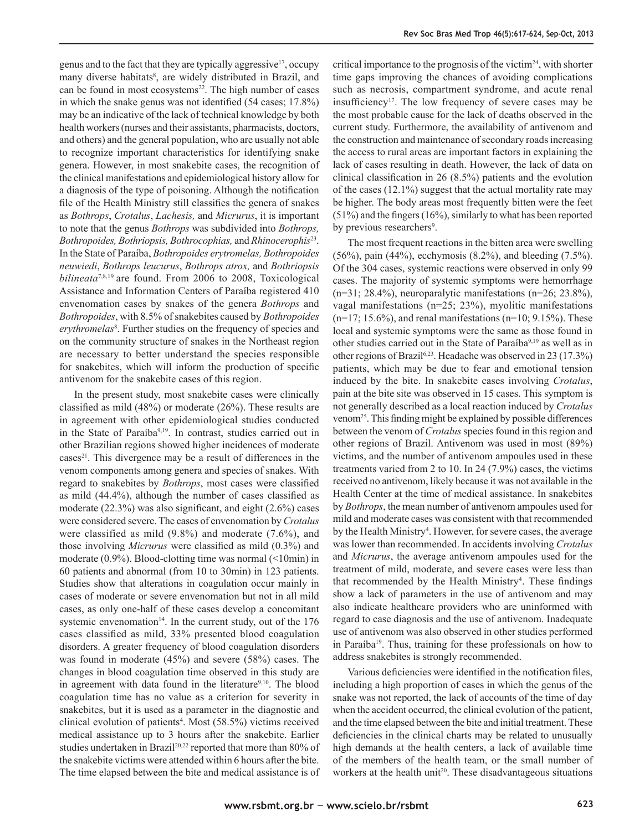genus and to the fact that they are typically aggressive<sup>17</sup>, occupy many diverse habitats<sup>8</sup>, are widely distributed in Brazil, and can be found in most ecosystems<sup>22</sup>. The high number of cases in which the snake genus was not identified  $(54 \text{ cases}; 17.8\%)$ may be an indicative of the lack of technical knowledge by both health workers (nurses and their assistants, pharmacists, doctors, and others) and the general population, who are usually not able to recognize important characteristics for identifying snake genera. However, in most snakebite cases, the recognition of the clinical manifestations and epidemiological history allow for a diagnosis of the type of poisoning. Although the notification file of the Health Ministry still classifies the genera of snakes as *Bothrops*, *Crotalus*, *Lachesis,* and *Micrurus*, it is important to note that the genus *Bothrops* was subdivided into *Bothrops, Bothropoides, Bothriopsis, Bothrocophias,* and *Rhinocerophis*23. In the State of Paraíba, *Bothropoides erytromelas, Bothropoides neuwiedi*, *Bothrops leucurus*, *Bothrops atrox,* and *Bothriopsis bilineata*7,8,19 are found. From 2006 to 2008, Toxicological Assistance and Information Centers of Paraíba registered 410 envenomation cases by snakes of the genera *Bothrops* and *Bothropoides*, with 8.5% of snakebites caused by *Bothropoides*  erythromelas<sup>8</sup>. Further studies on the frequency of species and on the community structure of snakes in the Northeast region are necessary to better understand the species responsible for snakebites, which will inform the production of specific antivenom for the snakebite cases of this region.

In the present study, most snakebite cases were clinically classified as mild  $(48%)$  or moderate  $(26%)$ . These results are in agreement with other epidemiological studies conducted in the State of Paraíba<sup>9,19</sup>. In contrast, studies carried out in other Brazilian regions showed higher incidences of moderate cases<sup>21</sup>. This divergence may be a result of differences in the venom components among genera and species of snakes. With regard to snakebites by *Bothrops*, most cases were classified as mild  $(44.4\%)$ , although the number of cases classified as moderate  $(22.3\%)$  was also significant, and eight  $(2.6\%)$  cases were considered severe. The cases of envenomation by *Crotalus* were classified as mild (9.8%) and moderate (7.6%), and those involving *Micrurus* were classified as mild (0.3%) and moderate (0.9%). Blood-clotting time was normal (<10min) in 60 patients and abnormal (from 10 to 30min) in 123 patients. Studies show that alterations in coagulation occur mainly in cases of moderate or severe envenomation but not in all mild cases, as only one-half of these cases develop a concomitant systemic envenomation<sup>14</sup>. In the current study, out of the  $176$ cases classified as mild, 33% presented blood coagulation disorders. A greater frequency of blood coagulation disorders was found in moderate (45%) and severe (58%) cases. The changes in blood coagulation time observed in this study are in agreement with data found in the literature<sup>9,10</sup>. The blood coagulation time has no value as a criterion for severity in snakebites, but it is used as a parameter in the diagnostic and clinical evolution of patients<sup>4</sup>. Most (58.5%) victims received medical assistance up to 3 hours after the snakebite. Earlier studies undertaken in Brazil<sup>20,22</sup> reported that more than 80% of the snakebite victims were attended within 6 hours after the bite. The time elapsed between the bite and medical assistance is of

critical importance to the prognosis of the victim<sup>24</sup>, with shorter time gaps improving the chances of avoiding complications such as necrosis, compartment syndrome, and acute renal insufficiency<sup>17</sup>. The low frequency of severe cases may be the most probable cause for the lack of deaths observed in the current study. Furthermore, the availability of antivenom and the construction and maintenance of secondary roads increasing the access to rural areas are important factors in explaining the lack of cases resulting in death. However, the lack of data on clinical classification in 26  $(8.5\%)$  patients and the evolution of the cases (12.1%) suggest that the actual mortality rate may be higher. The body areas most frequently bitten were the feet  $(51\%)$  and the fingers  $(16\%)$ , similarly to what has been reported by previous researchers<sup>9</sup>.

The most frequent reactions in the bitten area were swelling (56%), pain (44%), ecchymosis (8.2%), and bleeding (7.5%). Of the 304 cases, systemic reactions were observed in only 99 cases. The majority of systemic symptoms were hemorrhage  $(n=31; 28.4\%)$ , neuroparalytic manifestations  $(n=26; 23.8\%)$ , vagal manifestations (n=25; 23%), myolitic manifestations  $(n=17; 15.6\%)$ , and renal manifestations  $(n=10; 9.15\%)$ . These local and systemic symptoms were the same as those found in other studies carried out in the State of Paraíba<sup>9,19</sup> as well as in other regions of Brazil6,23. Headache was observed in 23 (17.3%) patients, which may be due to fear and emotional tension induced by the bite. In snakebite cases involving *Crotalus*, pain at the bite site was observed in 15 cases. This symptom is not generally described as a local reaction induced by *Crotalus*  venom<sup>25</sup>. This finding might be explained by possible differences between the venom of *Crotalus* species found in this region and other regions of Brazil. Antivenom was used in most (89%) victims, and the number of antivenom ampoules used in these treatments varied from 2 to 10. In 24 (7.9%) cases, the victims received no antivenom, likely because it was not available in the Health Center at the time of medical assistance. In snakebites by *Bothrops*, the mean number of antivenom ampoules used for mild and moderate cases was consistent with that recommended by the Health Ministry<sup>4</sup>. However, for severe cases, the average was lower than recommended. In accidents involving *Crotalus*  and *Micrurus*, the average antivenom ampoules used for the treatment of mild, moderate, and severe cases were less than that recommended by the Health Ministry<sup>4</sup>. These findings show a lack of parameters in the use of antivenom and may also indicate healthcare providers who are uninformed with regard to case diagnosis and the use of antivenom. Inadequate use of antivenom was also observed in other studies performed in Paraíba<sup>19</sup>. Thus, training for these professionals on how to address snakebites is strongly recommended.

Various deficiencies were identified in the notification files, including a high proportion of cases in which the genus of the snake was not reported, the lack of accounts of the time of day when the accident occurred, the clinical evolution of the patient, and the time elapsed between the bite and initial treatment. These deficiencies in the clinical charts may be related to unusually high demands at the health centers, a lack of available time of the members of the health team, or the small number of workers at the health unit<sup>20</sup>. These disadvantageous situations